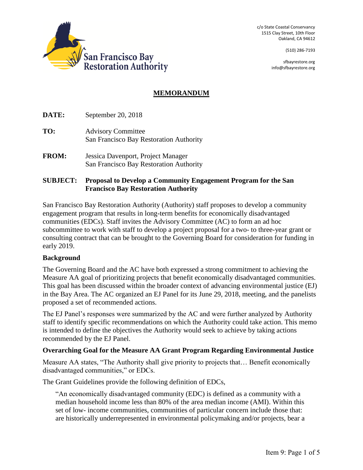c/o State Coastal Conservancy 1515 Clay Street, 10th Floor Oakland, CA 94612

(510) 286-7193

sfbayrestore.org [info@sfbayrestore.org](mailto:info@sfbayrestore.org)



# **MEMORANDUM**

**DATE:** September 20, 2018

- **TO:** Advisory Committee San Francisco Bay Restoration Authority
- **FROM:** Jessica Davenport, Project Manager San Francisco Bay Restoration Authority

### **SUBJECT: Proposal to Develop a Community Engagement Program for the San Francisco Bay Restoration Authority**

San Francisco Bay Restoration Authority (Authority) staff proposes to develop a community engagement program that results in long-term benefits for economically disadvantaged communities (EDCs). Staff invites the Advisory Committee (AC) to form an ad hoc subcommittee to work with staff to develop a project proposal for a two- to three-year grant or consulting contract that can be brought to the Governing Board for consideration for funding in early 2019.

#### **Background**

The Governing Board and the AC have both expressed a strong commitment to achieving the Measure AA goal of prioritizing projects that benefit economically disadvantaged communities. This goal has been discussed within the broader context of advancing environmental justice (EJ) in the Bay Area. The AC organized an EJ Panel for its June 29, 2018, meeting, and the panelists proposed a set of recommended actions.

The EJ Panel's responses were summarized by the AC and were further analyzed by Authority staff to identify specific recommendations on which the Authority could take action. This memo is intended to define the objectives the Authority would seek to achieve by taking actions recommended by the EJ Panel.

#### **Overarching Goal for the Measure AA Grant Program Regarding Environmental Justice**

Measure AA states, "The Authority shall give priority to projects that… Benefit economically disadvantaged communities," or EDCs.

The Grant Guidelines provide the following definition of EDCs,

"An economically disadvantaged community (EDC) is defined as a community with a median household income less than 80% of the area median income (AMI). Within this set of low- income communities, communities of particular concern include those that: are historically underrepresented in environmental policymaking and/or projects, bear a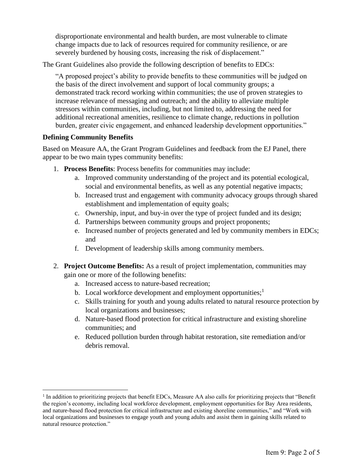disproportionate environmental and health burden, are most vulnerable to climate change impacts due to lack of resources required for community resilience, or are severely burdened by housing costs, increasing the risk of displacement."

The Grant Guidelines also provide the following description of benefits to EDCs:

"A proposed project's ability to provide benefits to these communities will be judged on the basis of the direct involvement and support of local community groups; a demonstrated track record working within communities; the use of proven strategies to increase relevance of messaging and outreach; and the ability to alleviate multiple stressors within communities, including, but not limited to, addressing the need for additional recreational amenities, resilience to climate change, reductions in pollution burden, greater civic engagement, and enhanced leadership development opportunities."

## **Defining Community Benefits**

 $\overline{a}$ 

Based on Measure AA, the Grant Program Guidelines and feedback from the EJ Panel, there appear to be two main types community benefits:

- 1. **Process Benefits**: Process benefits for communities may include:
	- a. Improved community understanding of the project and its potential ecological, social and environmental benefits, as well as any potential negative impacts;
	- b. Increased trust and engagement with community advocacy groups through shared establishment and implementation of equity goals;
	- c. Ownership, input, and buy-in over the type of project funded and its design;
	- d. Partnerships between community groups and project proponents;
	- e. Increased number of projects generated and led by community members in EDCs; and
	- f. Development of leadership skills among community members.
- 2. **Project Outcome Benefits:** As a result of project implementation, communities may gain one or more of the following benefits:
	- a. Increased access to nature-based recreation;
	- b. Local workforce development and employment opportunities; $<sup>1</sup>$ </sup>
	- c. Skills training for youth and young adults related to natural resource protection by local organizations and businesses;
	- d. Nature-based flood protection for critical infrastructure and existing shoreline communities; and
	- e. Reduced pollution burden through habitat restoration, site remediation and/or debris removal.

<sup>&</sup>lt;sup>1</sup> In addition to prioritizing projects that benefit EDCs, Measure AA also calls for prioritizing projects that "Benefit the region's economy, including local workforce development, employment opportunities for Bay Area residents, and nature-based flood protection for critical infrastructure and existing shoreline communities," and "Work with local organizations and businesses to engage youth and young adults and assist them in gaining skills related to natural resource protection."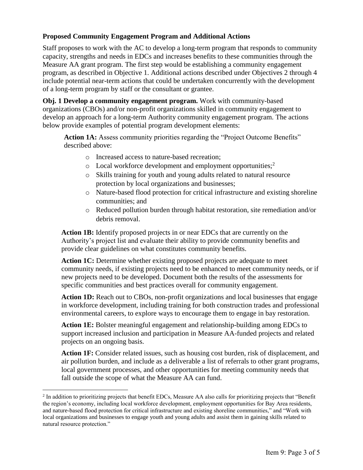## **Proposed Community Engagement Program and Additional Actions**

Staff proposes to work with the AC to develop a long-term program that responds to community capacity, strengths and needs in EDCs and increases benefits to these communities through the Measure AA grant program. The first step would be establishing a community engagement program, as described in Objective 1. Additional actions described under Objectives 2 through 4 include potential near-term actions that could be undertaken concurrently with the development of a long-term program by staff or the consultant or grantee.

**Obj. 1 Develop a community engagement program.** Work with community-based organizations (CBOs) and/or non-profit organizations skilled in community engagement to develop an approach for a long-term Authority community engagement program. The actions below provide examples of potential program development elements:

Action 1A: Assess community priorities regarding the "Project Outcome Benefits" described above:

- o Increased access to nature-based recreation;
- $\circ$  Local workforce development and employment opportunities;<sup>2</sup>
- o Skills training for youth and young adults related to natural resource protection by local organizations and businesses;
- o Nature-based flood protection for critical infrastructure and existing shoreline communities; and
- o Reduced pollution burden through habitat restoration, site remediation and/or debris removal.

**Action 1B:** Identify proposed projects in or near EDCs that are currently on the Authority's project list and evaluate their ability to provide community benefits and provide clear guidelines on what constitutes community benefits.

Action 1C: Determine whether existing proposed projects are adequate to meet community needs, if existing projects need to be enhanced to meet community needs, or if new projects need to be developed. Document both the results of the assessments for specific communities and best practices overall for community engagement.

**Action 1D:** Reach out to CBOs, non-profit organizations and local businesses that engage in workforce development, including training for both construction trades and professional environmental careers, to explore ways to encourage them to engage in bay restoration.

**Action 1E:** Bolster meaningful engagement and relationship-building among EDCs to support increased inclusion and participation in Measure AA-funded projects and related projects on an ongoing basis.

**Action 1F:** Consider related issues, such as housing cost burden, risk of displacement, and air pollution burden, and include as a deliverable a list of referrals to other grant programs, local government processes, and other opportunities for meeting community needs that fall outside the scope of what the Measure AA can fund.

 $\overline{a}$ 

<sup>&</sup>lt;sup>2</sup> In addition to prioritizing projects that benefit EDCs, Measure AA also calls for prioritizing projects that "Benefit the region's economy, including local workforce development, employment opportunities for Bay Area residents, and nature-based flood protection for critical infrastructure and existing shoreline communities," and "Work with local organizations and businesses to engage youth and young adults and assist them in gaining skills related to natural resource protection."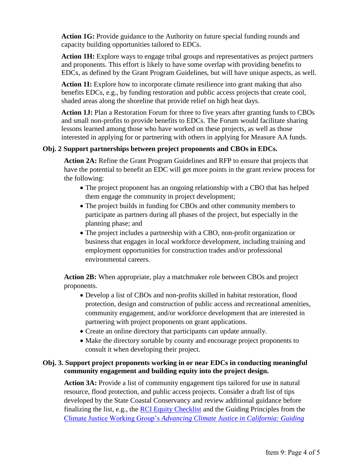**Action 1G:** Provide guidance to the Authority on future special funding rounds and capacity building opportunities tailored to EDCs.

**Action 1H:** Explore ways to engage tribal groups and representatives as project partners and proponents. This effort is likely to have some overlap with providing benefits to EDCs, as defined by the Grant Program Guidelines, but will have unique aspects, as well.

**Action 1I:** Explore how to incorporate climate resilience into grant making that also benefits EDCs, e.g., by funding restoration and public access projects that create cool, shaded areas along the shoreline that provide relief on high heat days.

**Action 1J:** Plan a Restoration Forum for three to five years after granting funds to CBOs and small non-profits to provide benefits to EDCs. The Forum would facilitate sharing lessons learned among those who have worked on these projects, as well as those interested in applying for or partnering with others in applying for Measure AA funds.

## **Obj. 2 Support partnerships between project proponents and CBOs in EDCs.**

**Action 2A:** Refine the Grant Program Guidelines and RFP to ensure that projects that have the potential to benefit an EDC will get more points in the grant review process for the following:

- The project proponent has an ongoing relationship with a CBO that has helped them engage the community in project development;
- The project builds in funding for CBOs and other community members to participate as partners during all phases of the project, but especially in the planning phase; and
- The project includes a partnership with a CBO, non-profit organization or business that engages in local workforce development, including training and employment opportunities for construction trades and/or professional environmental careers.

**Action 2B:** When appropriate, play a matchmaker role between CBOs and project proponents.

- Develop a list of CBOs and non-profits skilled in habitat restoration, flood protection, design and construction of public access and recreational amenities, community engagement, and/or workforce development that are interested in partnering with project proponents on grant applications.
- Create an online directory that participants can update annually.
- Make the directory sortable by county and encourage project proponents to consult it when developing their project.

## **Obj. 3. Support project proponents working in or near EDCs in conducting meaningful community engagement and building equity into the project design.**

**Action 3A:** Provide a list of community engagement tips tailored for use in natural resource, flood protection, and public access projects. Consider a draft list of tips developed by the State Coastal Conservancy and review additional guidance before finalizing the list, e.g., the [RCI Equity Checklist](http://rootedinresilience.org/wp-content/uploads/2016/12/RCI-Coalition-Resource-Equity-Checklist.pdf?8dd307) and the Guiding Principles from the Climate Justice Working Group's *[Advancing Climate Justice in California: Guiding](http://www.healthyworldforall.org/en/express-img/17081516-3570-img1.pdf)*